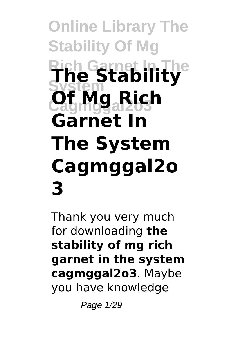# **Online Library The Stability Of Mg Rich Garnet In The The Stability System Cagmggal2o3 Of Mg Rich Garnet In The System Cagmggal2o 3**

Thank you very much for downloading **the stability of mg rich garnet in the system cagmggal2o3**. Maybe you have knowledge

Page 1/29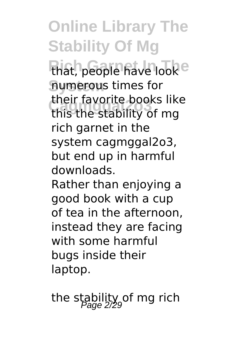**Online Library The Stability Of Mg** that, people have look<sup>e</sup> **System** numerous times for **Cagmggal2o3** this the stability of mg their favorite books like rich garnet in the system cagmggal2o3, but end up in harmful downloads.

Rather than enjoying a good book with a cup of tea in the afternoon, instead they are facing with some harmful bugs inside their laptop.

the stability of mg rich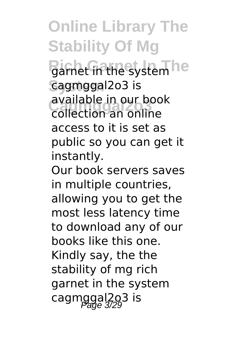**Online Library The Stability Of Mg** Barnet in the system he **System** cagmggal2o3 is available in our bod<br>collection an online available in our book access to it is set as public so you can get it instantly.

Our book servers saves in multiple countries, allowing you to get the most less latency time to download any of our books like this one. Kindly say, the the stability of mg rich garnet in the system cagmggal2o3 is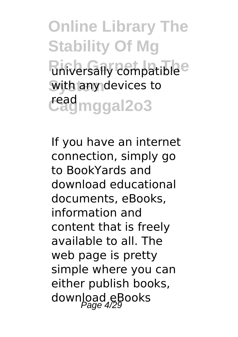**Online Library The Stability Of Mg Riniversally compatible**<sup>e</sup> with any devices to **Cagmggal2o3** read

If you have an internet connection, simply go to BookYards and download educational documents, eBooks, information and content that is freely available to all. The web page is pretty simple where you can either publish books, download eBooks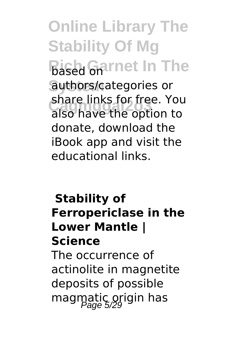**Online Library The Stability Of Mg Bised Garnet In The System** authors/categories or **Cagmggal2o3** also have the option to share links for free. You donate, download the iBook app and visit the educational links.

## **Stability of Ferropericlase in the Lower Mantle | Science** The occurrence of actinolite in magnetite deposits of possible magmatic origin has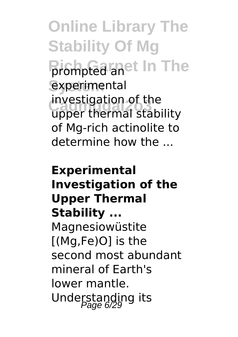**Online Library The Stability Of Mg Rich Garnet In The** prompted an experimental **Cagmggal2o3** upper thermal stability investigation of the of Mg-rich actinolite to determine how the ...

## **Experimental Investigation of the Upper Thermal Stability ...** Magnesiowüstite [(Mg,Fe)O] is the second most abundant mineral of Earth's lower mantle. Understanding its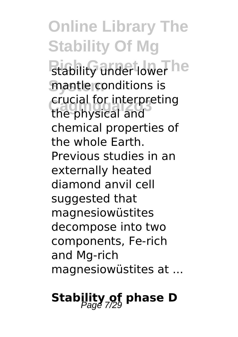**Online Library The Stability Of Mg Rtability under lower he mantle conditions is Cagmggal2o3** the physical and crucial for interpreting chemical properties of the whole Earth. Previous studies in an externally heated diamond anvil cell suggested that magnesiowüstites decompose into two components, Fe-rich and Mg-rich magnesiowüstites at ...

## **Stability of phase D**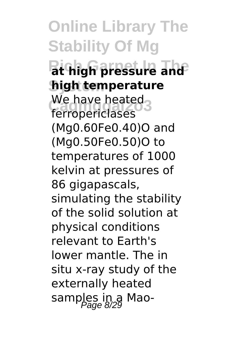**Online Library The Stability Of Mg Rich Garnet In The at high pressure and System high temperature** We have heated<br>ferronariclases ferropericlases (Mg0.60Fe0.40)O and (Mg0.50Fe0.50)O to temperatures of 1000 kelvin at pressures of 86 gigapascals, simulating the stability of the solid solution at physical conditions relevant to Earth's lower mantle. The in situ x-ray study of the externally heated samples in a Mao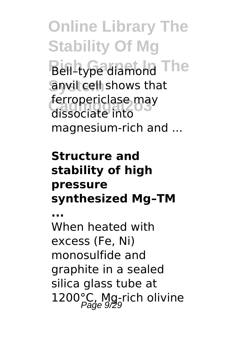**Online Library The Stability Of Mg Bell-type diamond The System** anvil cell shows that refropericiase ind<br>dissociate into ferropericlase may magnesium-rich and ...

### **Structure and stability of high pressure synthesized Mg–TM**

**...** When heated with excess (Fe, Ni) monosulfide and graphite in a sealed silica glass tube at 1200°C, Mg-rich olivine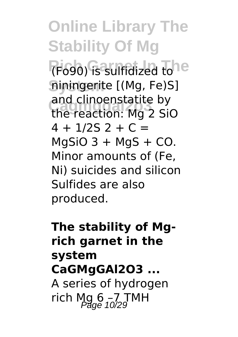**Online Library The Stability Of Mg** (Fo90) is sulfidized to **System** niningerite [(Mg, Fe)S] **Cagmggal2o3** the reaction: Mg 2 SiO and clinoenstatite by  $4 + 1/25$  2 + C =  $MqSiO$  3 + MgS + CO. Minor amounts of (Fe, Ni) suicides and silicon Sulfides are also produced.

## **The stability of Mgrich garnet in the system CaGMgGAl2O3 ...** A series of hydrogen rich Mg  $6 - 7$  TMH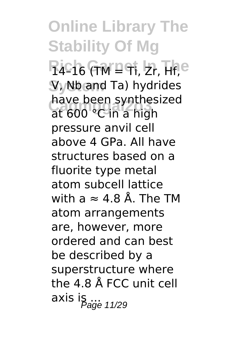**Online Library The Stability Of Mg R4-16 (TM = Ti, Zr, Hf, e System** V, Nb and Ta) hydrides nave been synthes<br>at 600 °C in a high have been synthesized pressure anvil cell above 4 GPa. All have structures based on a fluorite type metal atom subcell lattice with a  $\approx 4.8$  Å. The TM atom arrangements are, however, more ordered and can best be described by a superstructure where the 4.8 Å FCC unit cell  $\overline{a}$ xis is  $\overline{p}_{\text{age 11/29}}$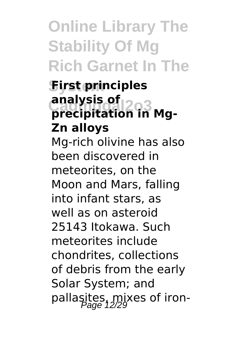## **Online Library The Stability Of Mg Rich Garnet In The**

### **System First principles analysis of<br>
<u>precipitation</u> precipitation in Mg-Zn alloys**

Mg-rich olivine has also been discovered in meteorites, on the Moon and Mars, falling into infant stars, as well as on asteroid 25143 Itokawa. Such meteorites include chondrites, collections of debris from the early Solar System; and pallasites, mixes of iron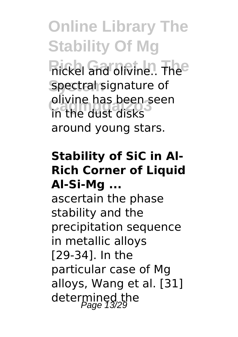**Online Library The Stability Of Mg Rickel and olivine.. The System** spectral signature of **Cagmggal2o3** in the dust disks olivine has been seen around young stars.

#### **Stability of SiC in Al-Rich Corner of Liquid Al-Si-Mg ...**

ascertain the phase stability and the precipitation sequence in metallic alloys [29-34]. In the particular case of Mg alloys, Wang et al. [31] determined the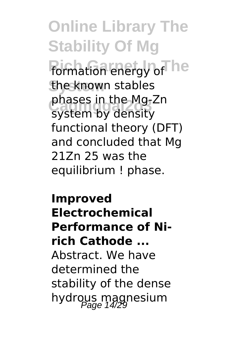**Online Library The Stability Of Mg formation energy of he System** the known stables phases in the Mg-2<br>system by density phases in the Mg-Zn functional theory (DFT) and concluded that Mg 21Zn 25 was the equilibrium ! phase.

**Improved Electrochemical Performance of Nirich Cathode ...** Abstract. We have determined the stability of the dense hydrous magnesium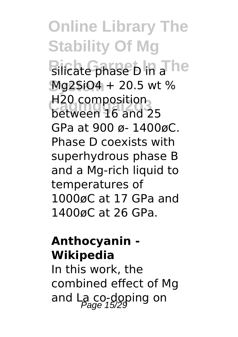**Online Library The Stability Of Mg Rilicate phase D in a**The **System** Mg2SiO4 + 20.5 wt % **Cagmggal2o3** between 16 and 25 H20 composition GPa at 900 ø- 1400øC. Phase D coexists with superhydrous phase B and a Mg-rich liquid to temperatures of 1000øC at 17 GPa and 1400øC at 26 GPa.

#### **Anthocyanin - Wikipedia**

In this work, the combined effect of Mg and La co-doping on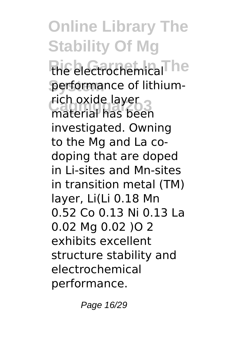**Online Library The Stability Of Mg** the electrochemical<sup>The</sup> performance of lithiumrich oxide layer<br>material has been material has been investigated. Owning to the Mg and La codoping that are doped in Li-sites and Mn-sites in transition metal (TM) layer, Li(Li 0.18 Mn 0.52 Co 0.13 Ni 0.13 La 0.02 Mg 0.02 )O 2 exhibits excellent structure stability and electrochemical performance.

Page 16/29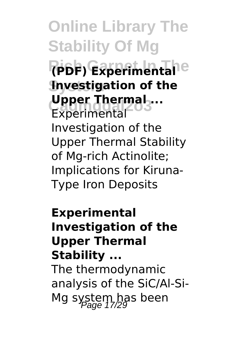**Online Library The Stability Of Mg Rich Garnet In The (PDF) Experimental Investigation of the Upper Thermal ...**<br>Experimental Experimental Investigation of the Upper Thermal Stability of Mg-rich Actinolite; Implications for Kiruna-Type Iron Deposits

**Experimental Investigation of the Upper Thermal Stability ...**

The thermodynamic analysis of the SiC/Al-Si-Mg system has been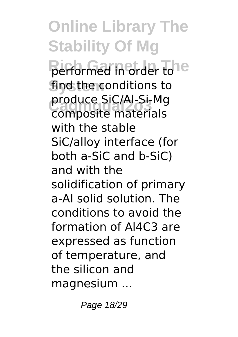**Online Library The Stability Of Mg Performed in order to e System** find the conditions to produce Sic/Al-Si-Mg<br>composite materials produce SiC/Al-Si-Mg with the stable SiC/alloy interface (for both a-SiC and b-SiC) and with the solidification of primary a-Al solid solution. The conditions to avoid the formation of Al4C3 are expressed as function of temperature, and the silicon and magnesium ...

Page 18/29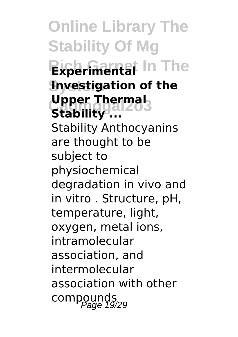**Online Library The Stability Of Mg Experimental** In The **Investigation of the Upper Thermal Stability ...** Stability Anthocyanins are thought to be subject to physiochemical degradation in vivo and in vitro . Structure, pH, temperature, light, oxygen, metal ions, intramolecular association, and intermolecular association with other compounds<br>Page 19/29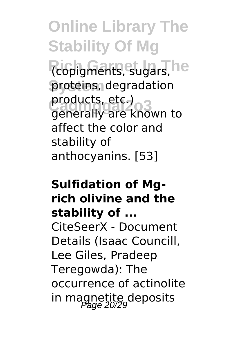**Online Library The Stability Of Mg** (copigments, sugars, he proteins, degradation **Cagmggal2o3** generally are known to products, etc.) affect the color and stability of anthocyanins. [53]

## **Sulfidation of Mgrich olivine and the stability of ...** CiteSeerX - Document Details (Isaac Councill, Lee Giles, Pradeep Teregowda): The occurrence of actinolite in magnetite deposits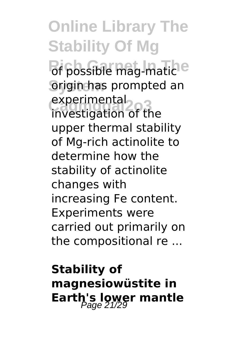**Online Library The Stability Of Mg** *Rich Grid Garantie* **System** origin has prompted an experimental<sub>2</sub><br>investigation of the experimental upper thermal stability of Mg-rich actinolite to determine how the stability of actinolite changes with increasing Fe content. Experiments were carried out primarily on the compositional re ...

**Stability of magnesiowüstite in Earth's lower mantle**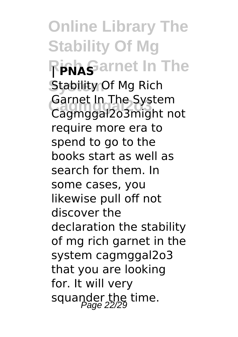**Online Library The Stability Of Mg Rich Garnet In The** Stability Of Mg Rich **Cagmggal2o3** Cagmggal2o3might not Garnet In The System require more era to spend to go to the books start as well as search for them. In some cases, you likewise pull off not discover the declaration the stability of mg rich garnet in the system cagmggal2o3 that you are looking for. It will very squander the time.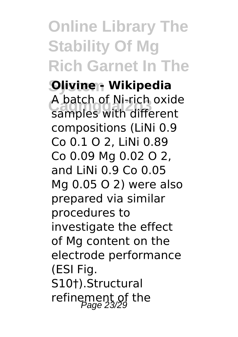## **Online Library The Stability Of Mg Rich Garnet In The**

**System Olivine - Wikipedia Cagmggal2o3** samples with different A batch of Ni-rich oxide compositions (LiNi 0.9 Co 0.1 O 2, LiNi 0.89 Co 0.09 Mg 0.02 O 2, and LiNi 0.9 Co 0.05 Mg 0.05 O 2) were also prepared via similar procedures to investigate the effect of Mg content on the electrode performance (ESI Fig. S10†).Structural refinement of the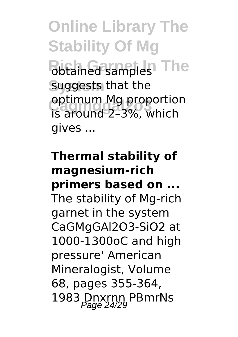**Online Library The Stability Of Mg Rich Gamples** The suggests that the opumum mg proportio<br>is around 2-3%, which optimum Mg proportion gives ...

## **Thermal stability of magnesium-rich primers based on ...** The stability of Mg-rich garnet in the system CaGMgGAl2O3-SiO2 at 1000-1300oC and high pressure' American Mineralogist, Volume 68, pages 355-364, 1983 Dnxrnn PBmrNs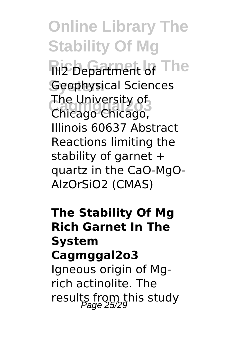**Online Library The Stability Of Mg Ri2 Department of The Geophysical Sciences Cagmggal2o3** Chicago Chicago, The University of Illinois 60637 Abstract Reactions limiting the stability of garnet + quartz in the CaO-MgO-AlzOrSiO2 (CMAS)

## **The Stability Of Mg Rich Garnet In The System Cagmggal2o3** Ianeous origin of Mg-

rich actinolite. The results from this study<br>Page 25/29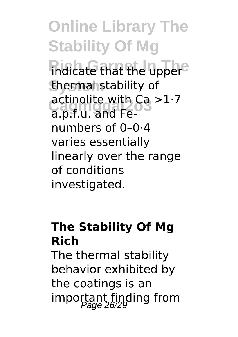**Online Library The Stability Of Mg** *<u>Indicate</u>* that the upper<sup>e</sup> **System** thermal stability of **Cagmggal2o3** a.p.f.u. and Feactinolite with  $Ca > 1.7$ numbers of 0–0·4 varies essentially linearly over the range of conditions investigated.

## **The Stability Of Mg Rich**

The thermal stability behavior exhibited by the coatings is an important finding from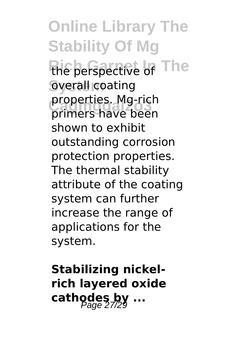**Online Library The Stability Of Mg** the perspective of The **System** overall coating **Cagmggal2o3** primers have been properties. Mg-rich shown to exhibit outstanding corrosion protection properties. The thermal stability attribute of the coating system can further increase the range of applications for the system.

**Stabilizing nickelrich layered oxide** cathodes by ...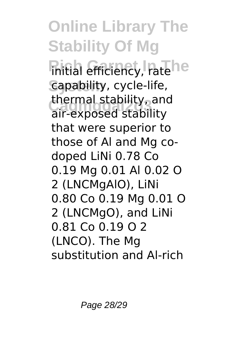**Online Library The Stability Of Mg** *Riftial efficiency, rate he* **System** capability, cycle-life, **Cagmggal2o3** air-exposed stability thermal stability, and that were superior to those of Al and Mg codoped LiNi 0.78 Co 0.19 Mg 0.01 Al 0.02 O 2 (LNCMgAlO), LiNi 0.80 Co 0.19 Mg 0.01 O 2 (LNCMgO), and LiNi 0.81 Co 0.19 O 2 (LNCO). The Mg substitution and Al-rich